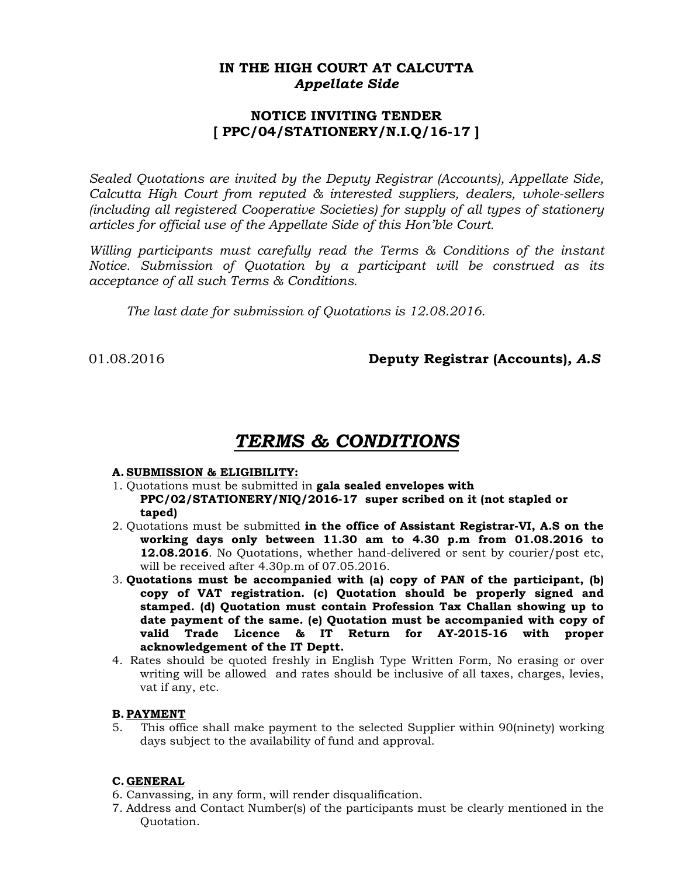## **IN THE HIGH COURT AT CALCUTTA**  *Appellate Side*

## **NOTICE INVITING TENDER [ PPC/04/STATIONERY/N.I.Q/16-17 ]**

*Sealed Quotations are invited by the Deputy Registrar (Accounts), Appellate Side, Calcutta High Court from reputed & interested suppliers, dealers, whole-sellers (including all registered Cooperative Societies) for supply of all types of stationery articles for official use of the Appellate Side of this Hon'ble Court.* 

*Willing participants must carefully read the Terms & Conditions of the instant Notice. Submission of Quotation by a participant will be construed as its acceptance of all such Terms & Conditions.* 

 *The last date for submission of Quotations is 12.08.2016.* 

# 01.08.2016 **Deputy Registrar (Accounts)***, A.S*

# *TERMS & CONDITIONS*

### **A. SUBMISSION & ELIGIBILITY:**

- 1. Quotations must be submitted in **gala sealed envelopes with PPC/02/STATIONERY/NIQ/2016-17 super scribed on it (not stapled or taped)**
- 2. Quotations must be submitted **in the office of Assistant Registrar-VI, A.S on the working days only between 11.30 am to 4.30 p.m from 01.08.2016 to 12.08.2016**. No Quotations, whether hand-delivered or sent by courier/post etc, will be received after 4.30p.m of 07.05.2016.
- 3. **Quotations must be accompanied with (a) copy of PAN of the participant, (b) copy of VAT registration. (c) Quotation should be properly signed and stamped. (d) Quotation must contain Profession Tax Challan showing up to date payment of the same. (e) Quotation must be accompanied with copy of valid Trade Licence & IT Return for AY-2015-16 with proper acknowledgement of the IT Deptt.**
- 4. Rates should be quoted freshly in English Type Written Form, No erasing or over writing will be allowed and rates should be inclusive of all taxes, charges, levies, vat if any, etc.

### **B. PAYMENT**

5. This office shall make payment to the selected Supplier within 90(ninety) working days subject to the availability of fund and approval.

### **C.GENERAL**

- 6. Canvassing, in any form, will render disqualification.
- 7. Address and Contact Number(s) of the participants must be clearly mentioned in the Quotation.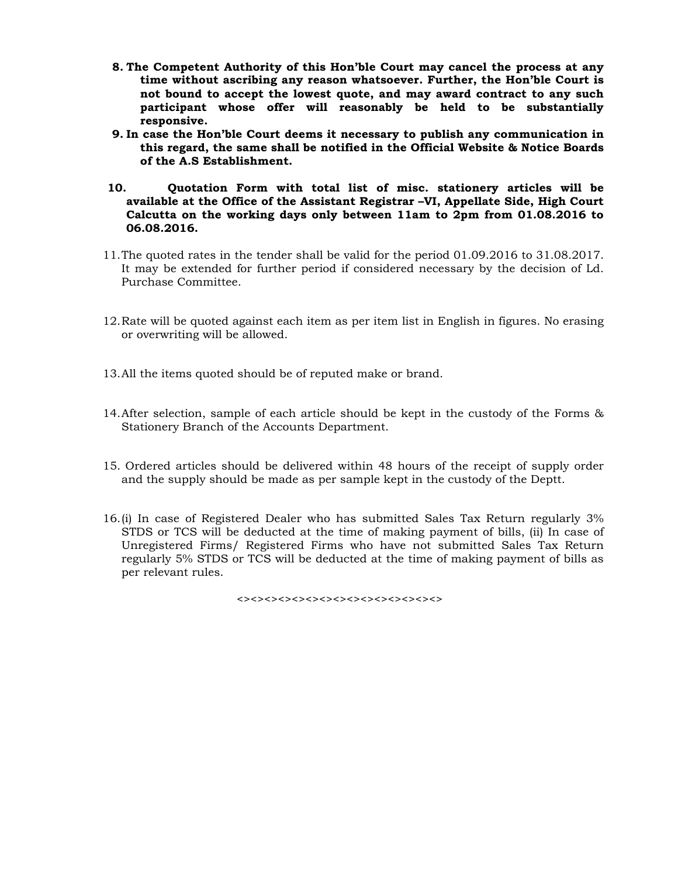- **8. The Competent Authority of this Hon'ble Court may cancel the process at any time without ascribing any reason whatsoever. Further, the Hon'ble Court is not bound to accept the lowest quote, and may award contract to any such participant whose offer will reasonably be held to be substantially responsive.**
- **9. In case the Hon'ble Court deems it necessary to publish any communication in this regard, the same shall be notified in the Official Website & Notice Boards of the A.S Establishment.**
- **10. Quotation Form with total list of misc. stationery articles will be available at the Office of the Assistant Registrar –VI, Appellate Side, High Court Calcutta on the working days only between 11am to 2pm from 01.08.2016 to 06.08.2016.**
- 11.The quoted rates in the tender shall be valid for the period 01.09.2016 to 31.08.2017. It may be extended for further period if considered necessary by the decision of Ld. Purchase Committee.
- 12.Rate will be quoted against each item as per item list in English in figures. No erasing or overwriting will be allowed.
- 13.All the items quoted should be of reputed make or brand.
- 14.After selection, sample of each article should be kept in the custody of the Forms & Stationery Branch of the Accounts Department.
- 15. Ordered articles should be delivered within 48 hours of the receipt of supply order and the supply should be made as per sample kept in the custody of the Deptt.
- 16.(i) In case of Registered Dealer who has submitted Sales Tax Return regularly 3% STDS or TCS will be deducted at the time of making payment of bills, (ii) In case of Unregistered Firms/ Registered Firms who have not submitted Sales Tax Return regularly 5% STDS or TCS will be deducted at the time of making payment of bills as per relevant rules.

<><><><><><><><><><><><><><><>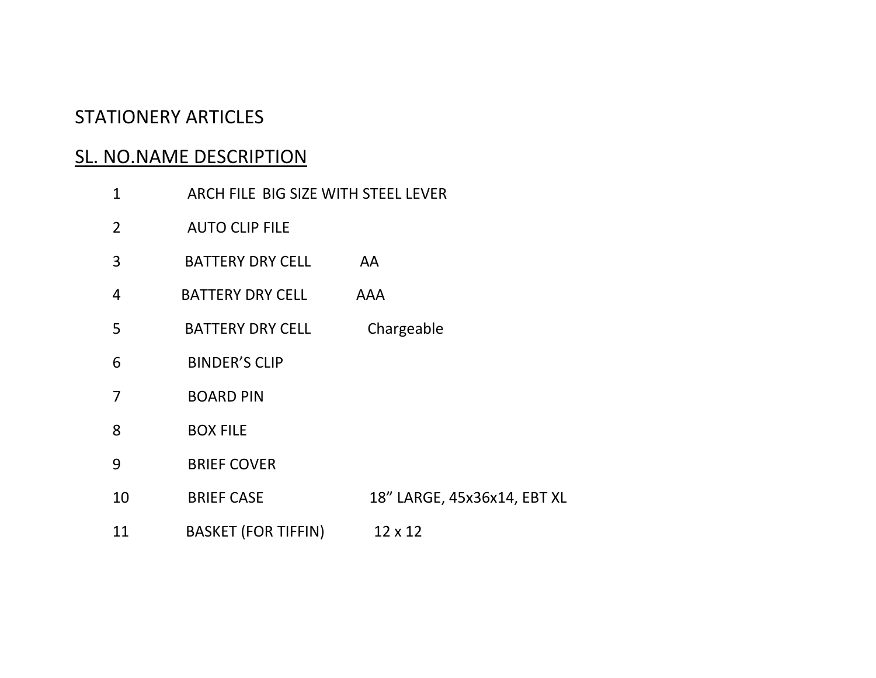# STATIONERY ARTICLES

# SL. NO.NAME DESCRIPTION

| $\mathbf{1}$   | ARCH FILE BIG SIZE WITH STEEL LEVER |                             |  |
|----------------|-------------------------------------|-----------------------------|--|
| $\overline{2}$ | <b>AUTO CLIP FILE</b>               |                             |  |
| 3              | <b>BATTERY DRY CELL</b>             | AA                          |  |
| 4              | <b>BATTERY DRY CELL</b>             | AAA                         |  |
| 5              | <b>BATTERY DRY CELL</b>             | Chargeable                  |  |
| 6              | <b>BINDER'S CLIP</b>                |                             |  |
| $\overline{7}$ | <b>BOARD PIN</b>                    |                             |  |
| 8              | <b>BOX FILE</b>                     |                             |  |
| 9              | <b>BRIEF COVER</b>                  |                             |  |
| 10             | <b>BRIEF CASE</b>                   | 18" LARGE, 45x36x14, EBT XL |  |
| 11             | <b>BASKET (FOR TIFFIN)</b>          | $12 \times 12$              |  |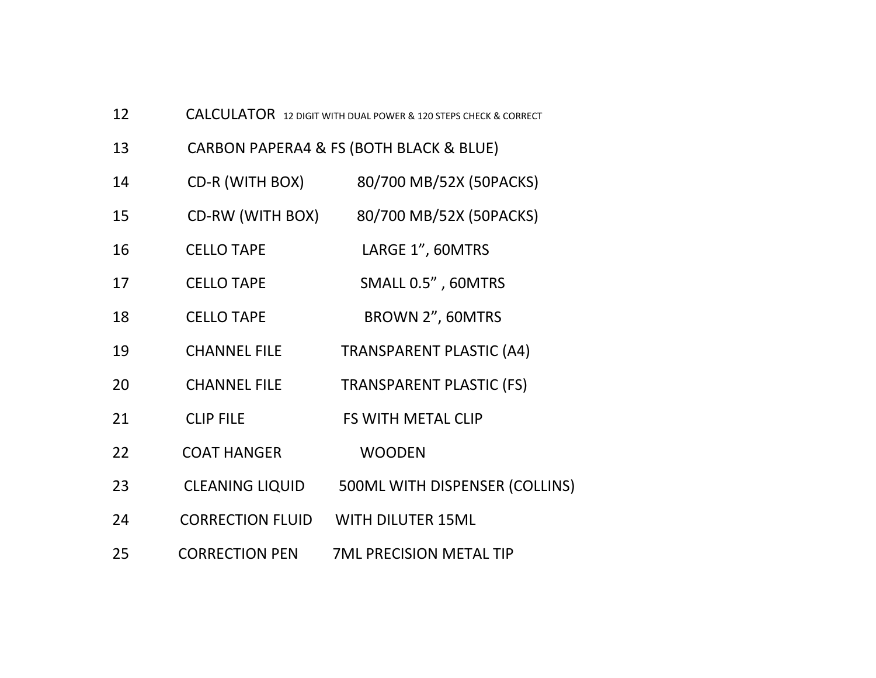| 12 |                         | <b>CALCULATOR</b> 12 DIGIT WITH DUAL POWER & 120 STEPS CHECK & CORRECT |  |  |
|----|-------------------------|------------------------------------------------------------------------|--|--|
| 13 |                         | CARBON PAPERA4 & FS (BOTH BLACK & BLUE)                                |  |  |
| 14 | CD-R (WITH BOX)         | 80/700 MB/52X (50PACKS)                                                |  |  |
| 15 | CD-RW (WITH BOX)        | 80/700 MB/52X (50PACKS)                                                |  |  |
| 16 | <b>CELLO TAPE</b>       | LARGE 1", 60MTRS                                                       |  |  |
| 17 | <b>CELLO TAPE</b>       | SMALL 0.5", 60MTRS                                                     |  |  |
| 18 | <b>CELLO TAPE</b>       | BROWN 2", 60MTRS                                                       |  |  |
| 19 | <b>CHANNEL FILE</b>     | <b>TRANSPARENT PLASTIC (A4)</b>                                        |  |  |
| 20 | <b>CHANNEL FILE</b>     | <b>TRANSPARENT PLASTIC (FS)</b>                                        |  |  |
| 21 | <b>CLIP FILE</b>        | FS WITH METAL CLIP                                                     |  |  |
| 22 | <b>COAT HANGER</b>      | <b>WOODEN</b>                                                          |  |  |
| 23 | <b>CLEANING LIQUID</b>  | 500ML WITH DISPENSER (COLLINS)                                         |  |  |
| 24 | <b>CORRECTION FLUID</b> | <b>WITH DILUTER 15ML</b>                                               |  |  |
| 25 | <b>CORRECTION PEN</b>   | <b>7ML PRECISION METAL TIP</b>                                         |  |  |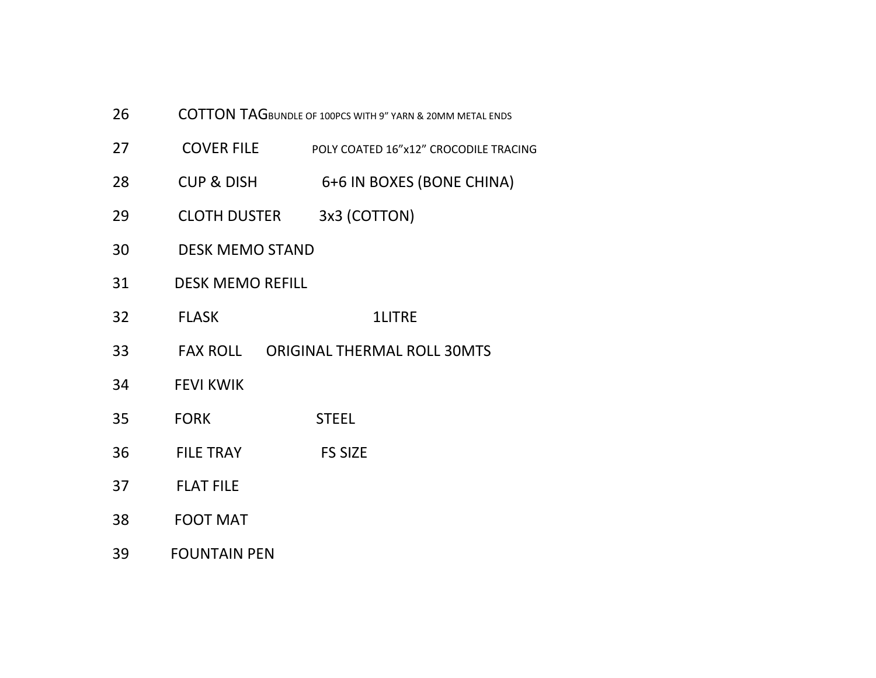- 26COTTON TAGBUNDLE OF 100PCS WITH 9" YARN & 20MM METAL ENDS
- 27**COVER FILE** FILE POLY COATED 16"x12" CROCODILE TRACING
- 28 CUP &6+6 IN BOXES (BONE CHINA)
- 29**CLOTH DUSTER** 3x3 (COTTON)
- 30DESK MEMO STAND
- 31DESK MEMO REFILL
- 32 FLASK1LITRE
- 33**FAX ROLL** ORIGINAL THERMAL ROLL 30MTS
- 34FEVI KWIK
- 35 FORKSTEEL
- 36FILE TRAY FS SIZE
- 37FLAT FILE
- 38FOOT MAT
- 39FOUNTAIN PEN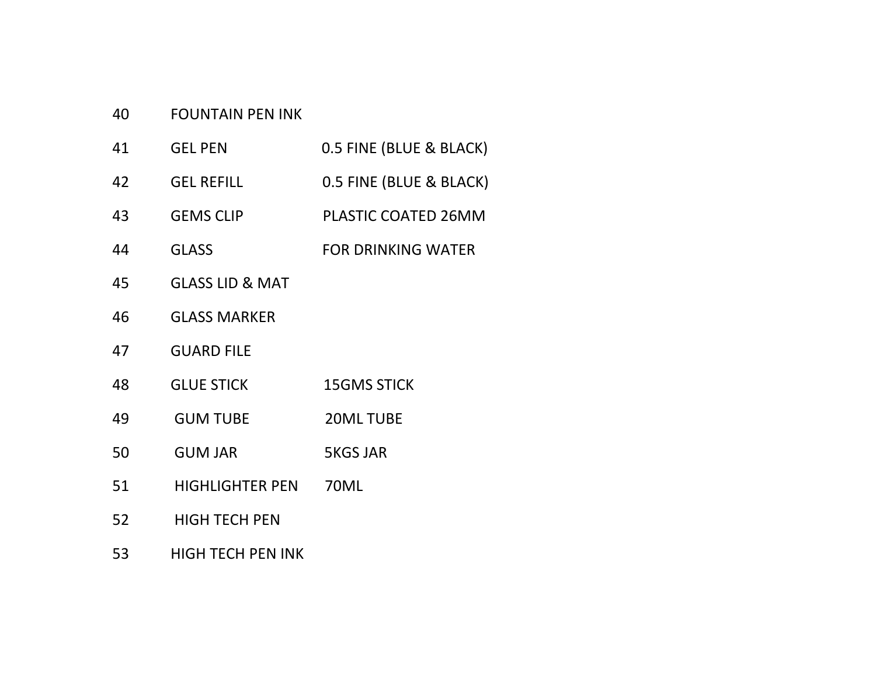#### 40FOUNTAIN PEN INK

- 41 GEL PEN0.5 FINE (BLUE & BLACK)
- 42GEL REFILL 0.5 FINE (BLUE & BLACK)
- 43 GEMS CLIPPLASTIC COATED 26MM
- 44**GLASS** R DRINKING WATER
- 45GLASS LID & MAT
- 46GLASS MARKER
- 47GUARD FILE
- 48 GLUE STICK15GMS STICK
- 49**GUM TUBE** 20ML TUBE
- 50**GUM JAR 5KGS JAR**
- 51 HIGHLIGHTER PEN70ML
- 52HIGH TECH PEN
- 53HIGH TECH PEN INK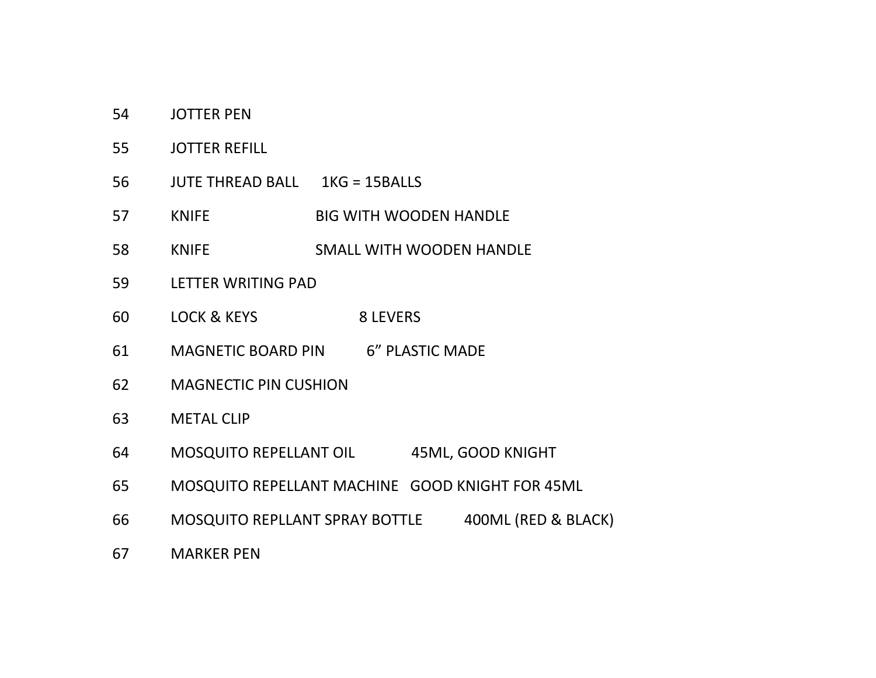- 54JOTTER PEN
- 55JOTTER REFILL
- 56JUTE THREAD BALL 1KG <sup>=</sup> 15BALLS
- 57KNIFE WITH WOODEN HANDLE
- 58KNIFE SMALL WITH WOODEN HANDLE
- 59LETTER WRITING PAD
- 60LOCK & KEYS 8 LEVERS
- 61MAGNETIC BOARD PIN 6" PLASTIC MADE
- 62MAGNECTIC PIN CUSHION
- 63METAL CLIP
- 64MOSQUITO REPELLANT OIL 45ML, GOOD KNIGHT
- 65MOSQUITO REPELLANT MACHINE GOOD KNIGHT FOR 45ML
- 66MOSQUITO REPLLANT SPRAY BOTTLE 400ML (RED & BLACK)
- 67MARKER PEN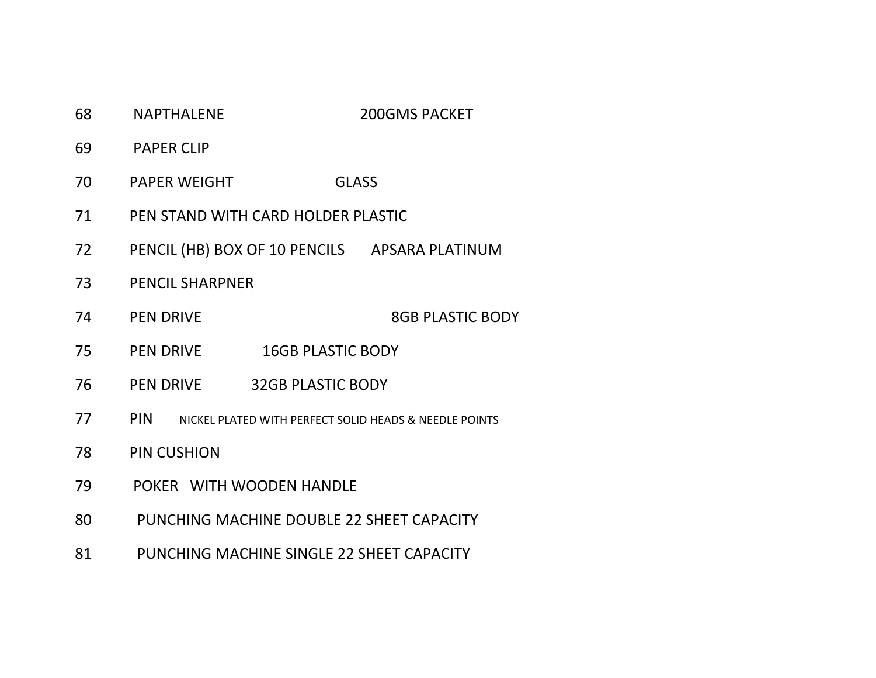- 68NAPTHALENE 200GMS PACKET
- 69PAPER CLIP
- 70PAPER WEIGHT GLASS
- 71PEN STAND WITH CARD HOLDER PLASTIC
- 72PENCIL (HB) BOX OF 10 PENCILS APSARA PLATINUM
- 73PENCIL SHARPNER
- 74PEN DRIVE **8GB PLASTIC BODY**
- 75PEN DRIVE 16GB PLASTIC BODY
- 76PEN DRIVE **32GB PLASTIC BODY**
- 77 PINNICKEL PLATED WITH PERFECT SOLID HEADS & NEEDLE POINTS
- 788 PIN CUSHION
- 79POKER WITH WOODEN HANDLE
- 80PUNCHING MACHINE DOUBLE 22 SHEET CAPACITY
- 81PUNCHING MACHINE SINGLE 22 SHEET CAPACITY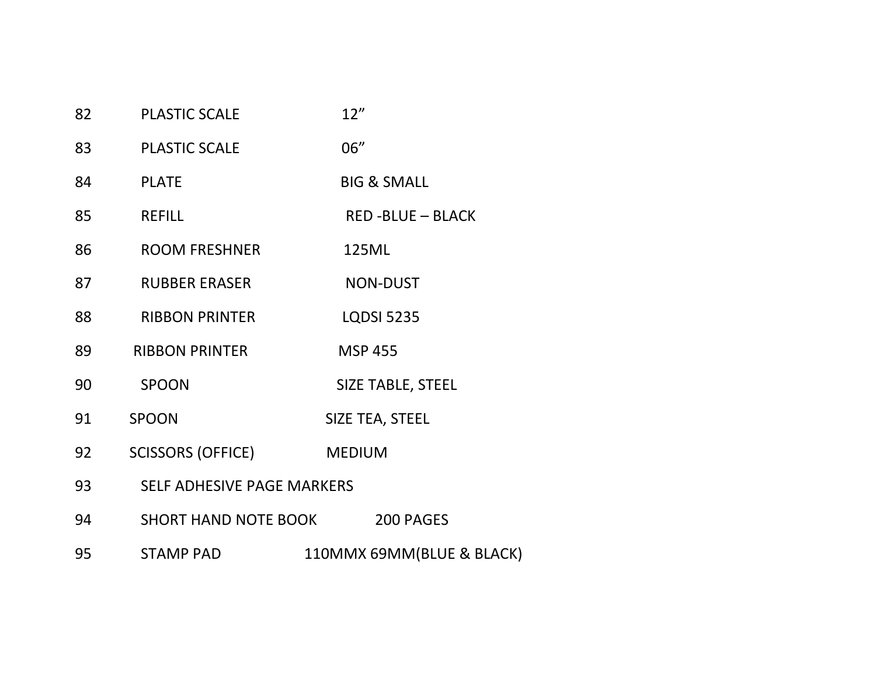| 82 | <b>PLASTIC SCALE</b>              | 12"                      |
|----|-----------------------------------|--------------------------|
| 83 | <b>PLASTIC SCALE</b>              | 06"                      |
| 84 | <b>PLATE</b>                      | <b>BIG &amp; SMALL</b>   |
| 85 | <b>REFILL</b>                     | <b>RED-BLUE - BLACK</b>  |
| 86 | <b>ROOM FRESHNER</b>              | 125ML                    |
| 87 | <b>RUBBER ERASER</b>              | <b>NON-DUST</b>          |
| 88 | <b>RIBBON PRINTER</b>             | <b>LQDSI 5235</b>        |
| 89 | <b>RIBBON PRINTER</b>             | <b>MSP 455</b>           |
| 90 | <b>SPOON</b>                      | <b>SIZE TABLE, STEEL</b> |
| 91 | <b>SPOON</b>                      | SIZE TEA, STEEL          |
| 92 | <b>SCISSORS (OFFICE)</b>          | <b>MEDIUM</b>            |
| 93 | <b>SELF ADHESIVE PAGE MARKERS</b> |                          |
| 94 | <b>SHORT HAND NOTE BOOK</b>       | 200 PAGES                |

95 STAMP PAD110MMX 69MM(BLUE & BLACK)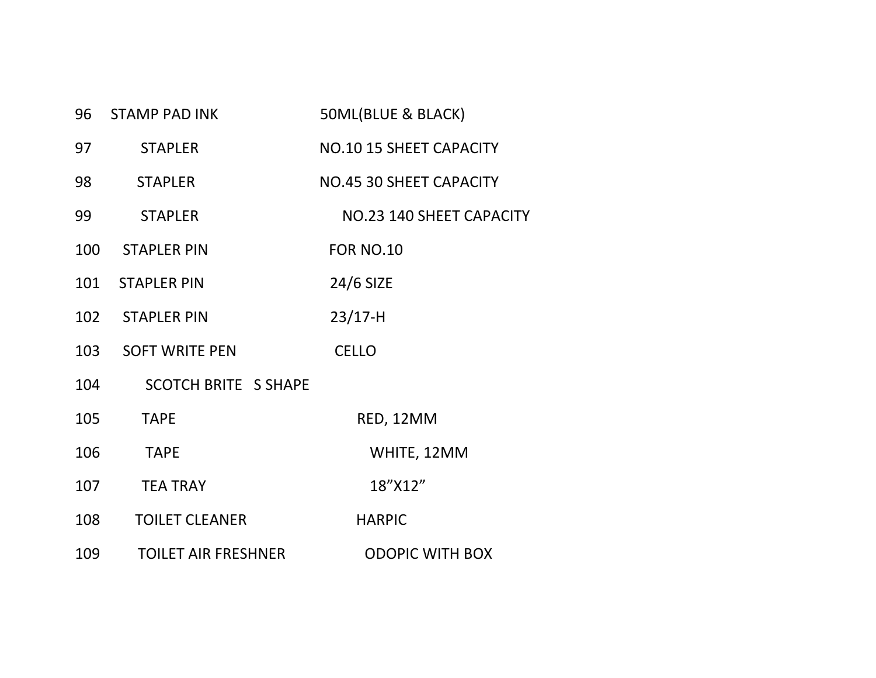|     | 96 STAMP PAD INK            | 50ML(BLUE & BLACK)             |
|-----|-----------------------------|--------------------------------|
| 97  | <b>STAPLER</b>              | <b>NO.10 15 SHEET CAPACITY</b> |
| 98  | <b>STAPLER</b>              | NO.45 30 SHEET CAPACITY        |
| 99  | <b>STAPLER</b>              | NO.23 140 SHEET CAPACITY       |
| 100 | STAPLER PIN                 | <b>FOR NO.10</b>               |
|     | 101 STAPLER PIN             | 24/6 SIZE                      |
|     | 102 STAPLER PIN             | $23/17-H$                      |
| 103 | <b>SOFT WRITE PEN</b>       | <b>CELLO</b>                   |
| 104 | <b>SCOTCH BRITE S SHAPE</b> |                                |
| 105 | <b>TAPE</b>                 | RED, 12MM                      |
| 106 | <b>TAPE</b>                 | WHITE, 12MM                    |
| 107 | <b>TEA TRAY</b>             | 18"X12"                        |
| 108 | <b>TOILET CLEANER</b>       | <b>HARPIC</b>                  |
| 109 | <b>TOILET AIR FRESHNER</b>  | <b>ODOPIC WITH BOX</b>         |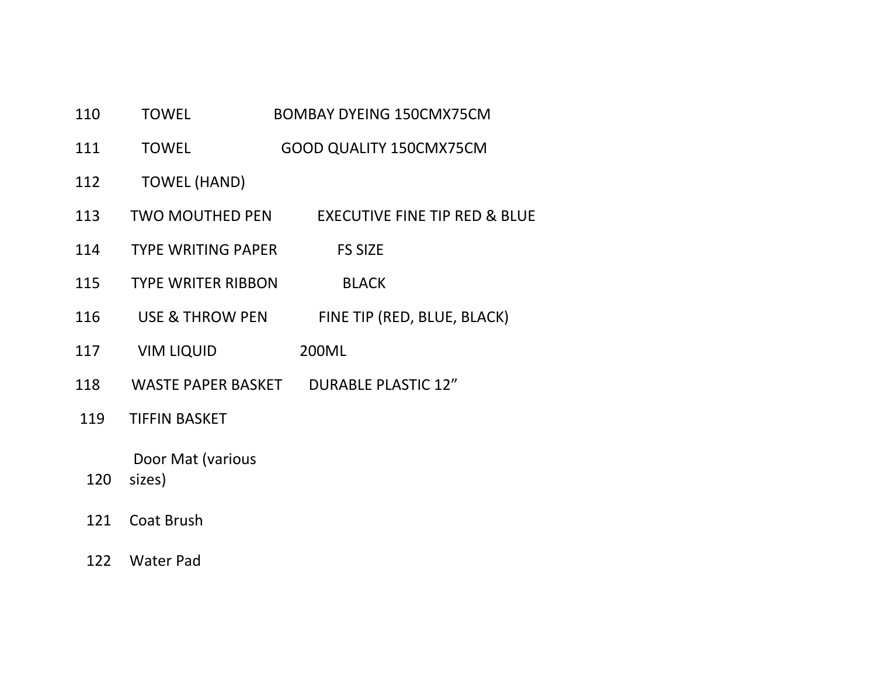#### 110TOWEL BOMBAY DYEING 150CMX75CM

- 111**TOWEL** GOOD QUALITY 150CMX75CM
- 112TOWEL (HAND)
- 113**TWO MOUTHED PEN** MOUTHED PEN EXECUTIVE FINE TIP RED & BLUE
- 114TYPE WRITING PAPER FS SIZE
- 115 TYPE WRITER RIBBONBLACK
- 116 USE & THROWFINE TIP (RED, BLUE, BLACK)
- 117VIM LIQUID 200ML
- 118WASTE PAPER BASKET **DURABLE PLASTIC 12"**
- 119TIFFIN BASKET

Door Mat (various

- 120 sizes)
- 1211 Coat Brush
- 122 Water Pad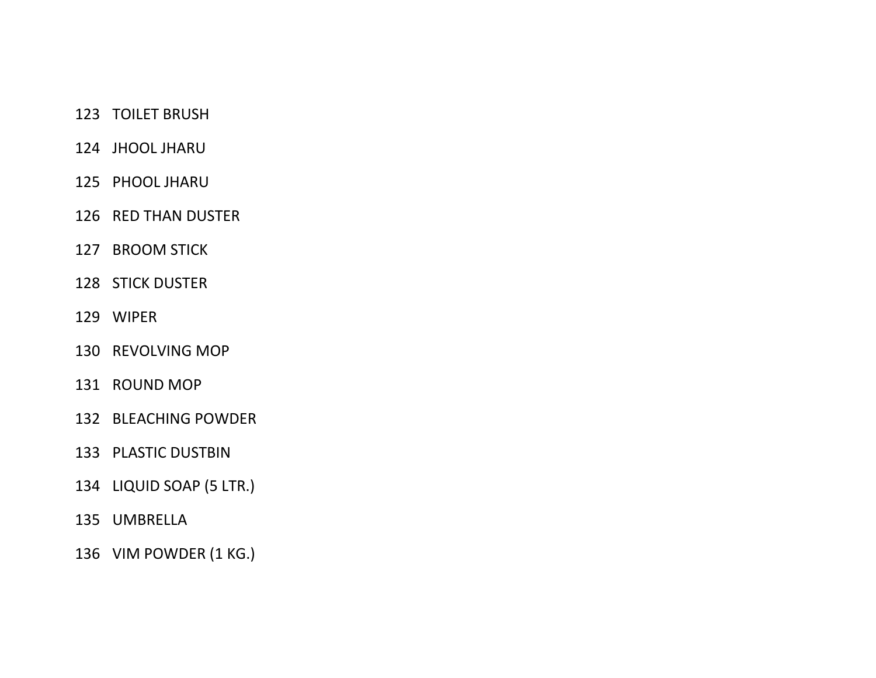# TOILET BRUSH

## JHOOL JHARU

- PHOOL JHARU
- RED THAN DUSTER
- BROOM STICK
- STICK DUSTER
- WIPER
- REVOLVING MOP
- ROUND MOP
- BLEACHING POWDER
- PLASTIC DUSTBIN
- LIQUID SOAP (5 LTR.)
- UMBRELLA
- VIM POWDER (1 KG.)